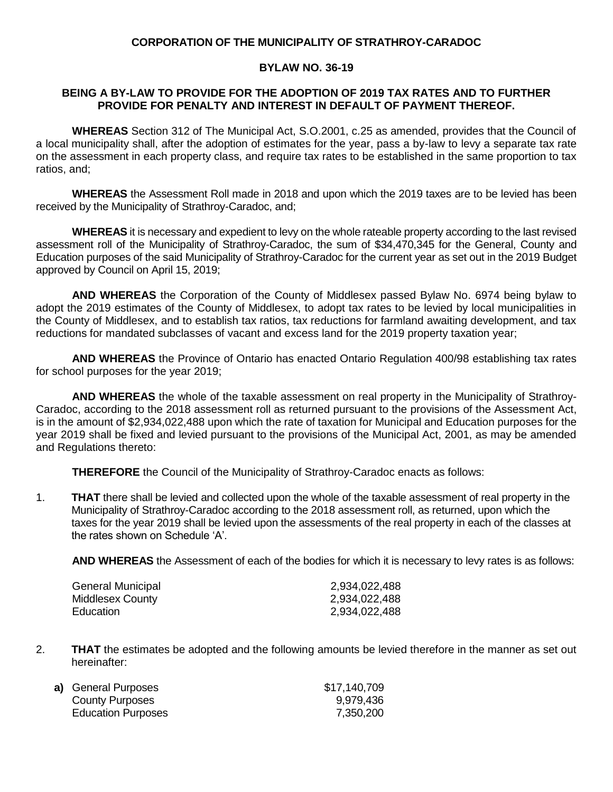#### **CORPORATION OF THE MUNICIPALITY OF STRATHROY-CARADOC**

### **BYLAW NO. 36-19**

#### **BEING A BY-LAW TO PROVIDE FOR THE ADOPTION OF 2019 TAX RATES AND TO FURTHER PROVIDE FOR PENALTY AND INTEREST IN DEFAULT OF PAYMENT THEREOF.**

**WHEREAS** Section 312 of The Municipal Act, S.O.2001, c.25 as amended, provides that the Council of a local municipality shall, after the adoption of estimates for the year, pass a by-law to levy a separate tax rate on the assessment in each property class, and require tax rates to be established in the same proportion to tax ratios, and;

**WHEREAS** the Assessment Roll made in 2018 and upon which the 2019 taxes are to be levied has been received by the Municipality of Strathroy-Caradoc, and;

**WHEREAS** it is necessary and expedient to levy on the whole rateable property according to the last revised assessment roll of the Municipality of Strathroy-Caradoc, the sum of \$34,470,345 for the General, County and Education purposes of the said Municipality of Strathroy-Caradoc for the current year as set out in the 2019 Budget approved by Council on April 15, 2019;

**AND WHEREAS** the Corporation of the County of Middlesex passed Bylaw No. 6974 being bylaw to adopt the 2019 estimates of the County of Middlesex, to adopt tax rates to be levied by local municipalities in the County of Middlesex, and to establish tax ratios, tax reductions for farmland awaiting development, and tax reductions for mandated subclasses of vacant and excess land for the 2019 property taxation year;

**AND WHEREAS** the Province of Ontario has enacted Ontario Regulation 400/98 establishing tax rates for school purposes for the year 2019;

**AND WHEREAS** the whole of the taxable assessment on real property in the Municipality of Strathroy-Caradoc, according to the 2018 assessment roll as returned pursuant to the provisions of the Assessment Act, is in the amount of \$2,934,022,488 upon which the rate of taxation for Municipal and Education purposes for the year 2019 shall be fixed and levied pursuant to the provisions of the Municipal Act, 2001, as may be amended and Regulations thereto:

**THEREFORE** the Council of the Municipality of Strathroy-Caradoc enacts as follows:

1. **THAT** there shall be levied and collected upon the whole of the taxable assessment of real property in the Municipality of Strathroy-Caradoc according to the 2018 assessment roll, as returned, upon which the taxes for the year 2019 shall be levied upon the assessments of the real property in each of the classes at the rates shown on Schedule 'A'.

**AND WHEREAS** the Assessment of each of the bodies for which it is necessary to levy rates is as follows:

| General Municipal | 2,934,022,488 |
|-------------------|---------------|
| Middlesex County  | 2,934,022,488 |
| Education         | 2,934,022,488 |

2. **THAT** the estimates be adopted and the following amounts be levied therefore in the manner as set out hereinafter:

| a) General Purposes       | \$17,140,709 |
|---------------------------|--------------|
| County Purposes           | 9,979,436    |
| <b>Education Purposes</b> | 7,350,200    |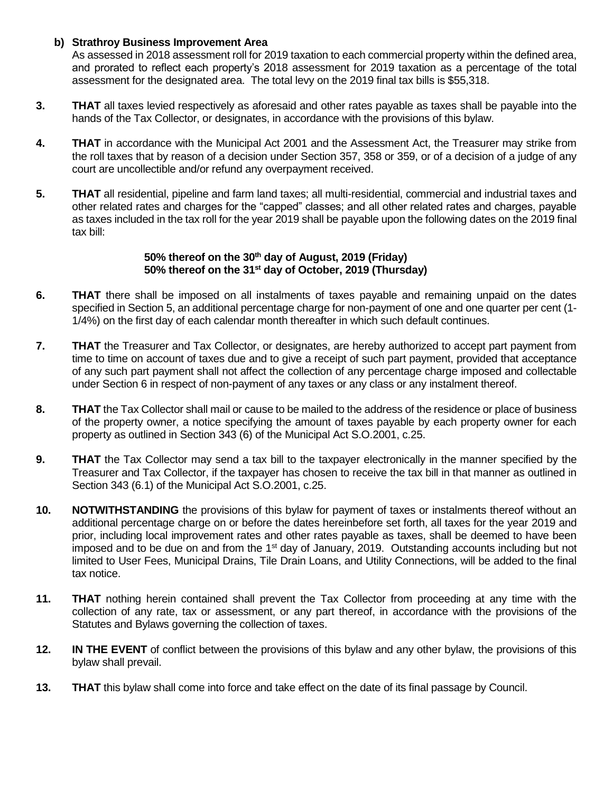# **b) Strathroy Business Improvement Area**

As assessed in 2018 assessment roll for 2019 taxation to each commercial property within the defined area, and prorated to reflect each property's 2018 assessment for 2019 taxation as a percentage of the total assessment for the designated area. The total levy on the 2019 final tax bills is \$55,318.

- **3. THAT** all taxes levied respectively as aforesaid and other rates payable as taxes shall be payable into the hands of the Tax Collector, or designates, in accordance with the provisions of this bylaw.
- **4. THAT** in accordance with the Municipal Act 2001 and the Assessment Act, the Treasurer may strike from the roll taxes that by reason of a decision under Section 357, 358 or 359, or of a decision of a judge of any court are uncollectible and/or refund any overpayment received.
- **5. THAT** all residential, pipeline and farm land taxes; all multi-residential, commercial and industrial taxes and other related rates and charges for the "capped" classes; and all other related rates and charges, payable as taxes included in the tax roll for the year 2019 shall be payable upon the following dates on the 2019 final tax bill:

# **50% thereof on the 30 th day of August, 2019 (Friday) 50% thereof on the 31 st day of October, 2019 (Thursday)**

- **6. THAT** there shall be imposed on all instalments of taxes payable and remaining unpaid on the dates specified in Section 5, an additional percentage charge for non-payment of one and one quarter per cent (1- 1/4%) on the first day of each calendar month thereafter in which such default continues.
- **7. THAT** the Treasurer and Tax Collector, or designates, are hereby authorized to accept part payment from time to time on account of taxes due and to give a receipt of such part payment, provided that acceptance of any such part payment shall not affect the collection of any percentage charge imposed and collectable under Section 6 in respect of non-payment of any taxes or any class or any instalment thereof.
- **8. THAT** the Tax Collector shall mail or cause to be mailed to the address of the residence or place of business of the property owner, a notice specifying the amount of taxes payable by each property owner for each property as outlined in Section 343 (6) of the Municipal Act S.O.2001, c.25.
- **9. THAT** the Tax Collector may send a tax bill to the taxpayer electronically in the manner specified by the Treasurer and Tax Collector, if the taxpayer has chosen to receive the tax bill in that manner as outlined in Section 343 (6.1) of the Municipal Act S.O.2001, c.25.
- **10. NOTWITHSTANDING** the provisions of this bylaw for payment of taxes or instalments thereof without an additional percentage charge on or before the dates hereinbefore set forth, all taxes for the year 2019 and prior, including local improvement rates and other rates payable as taxes, shall be deemed to have been imposed and to be due on and from the 1<sup>st</sup> day of January, 2019. Outstanding accounts including but not limited to User Fees, Municipal Drains, Tile Drain Loans, and Utility Connections, will be added to the final tax notice.
- **11. THAT** nothing herein contained shall prevent the Tax Collector from proceeding at any time with the collection of any rate, tax or assessment, or any part thereof, in accordance with the provisions of the Statutes and Bylaws governing the collection of taxes.
- **12. IN THE EVENT** of conflict between the provisions of this bylaw and any other bylaw, the provisions of this bylaw shall prevail.
- **13. THAT** this bylaw shall come into force and take effect on the date of its final passage by Council.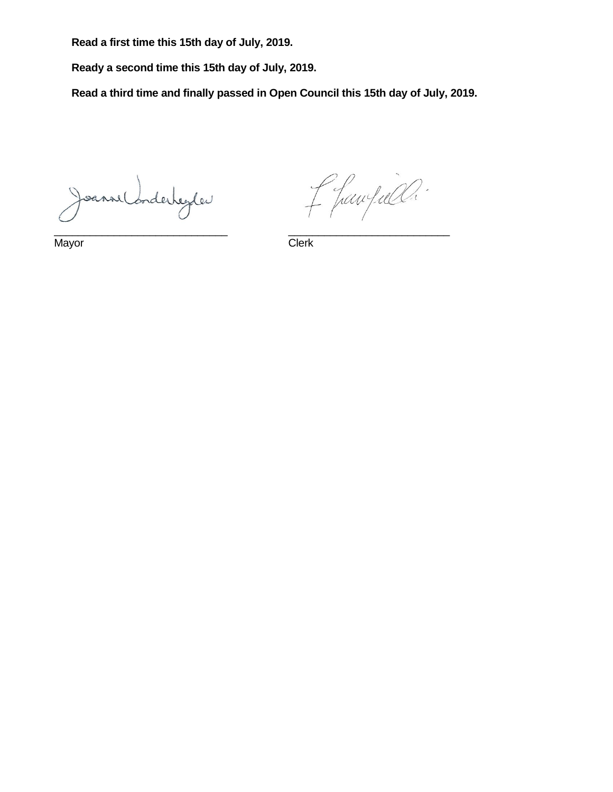**Read a first time this 15th day of July, 2019.**

**Ready a second time this 15th day of July, 2019.**

**Read a third time and finally passed in Open Council this 15th day of July, 2019.**

Joanne Conderheyler

f fawfall.

Mayor Clerk

\_\_\_\_\_\_\_\_\_\_\_\_\_\_\_\_\_\_\_\_\_\_\_\_\_\_\_\_\_ \_\_\_\_\_\_\_\_\_\_\_\_\_\_\_\_\_\_\_\_\_\_\_\_\_\_\_